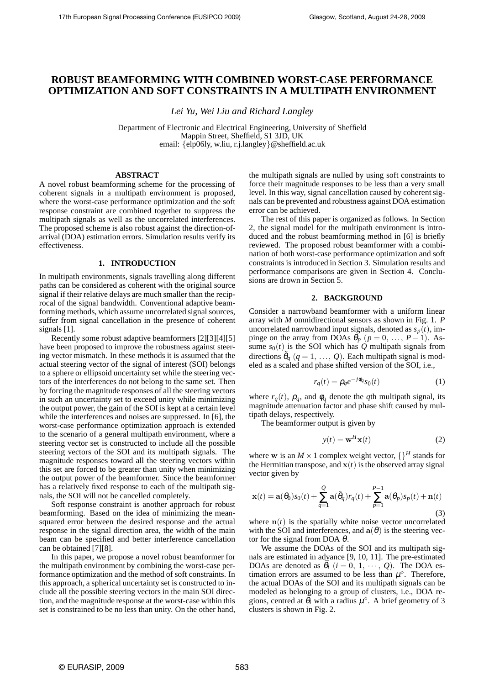# **ROBUST BEAMFORMING WITH COMBINED WORST-CASE PERFORMANCE OPTIMIZATION AND SOFT CONSTRAINTS IN A MULTIPATH ENVIRONMENT**

*Lei Yu, Wei Liu and Richard Langley*

Department of Electronic and Electrical Engineering, University of Sheffield Mappin Street, Sheffield, S1 3JD, UK email: {elp06ly, w.liu, r.j.langley}@sheffield.ac.uk

# **ABSTRACT**

A novel robust beamforming scheme for the processing of coherent signals in a multipath environment is proposed, where the worst-case performance optimization and the soft response constraint are combined together to suppress the multipath signals as well as the uncorrelated interferences. The proposed scheme is also robust against the direction-ofarrival (DOA) estimation errors. Simulation results verify its effectiveness.

## **1. INTRODUCTION**

In multipath environments, signals travelling along different paths can be considered as coherent with the original source signal if their relative delays are much smaller than the reciprocal of the signal bandwidth. Conventional adaptive beamforming methods, which assume uncorrelated signal sources, suffer from signal cancellation in the presence of coherent signals [1].

Recently some robust adaptive beamformers [2][3][4][5] have been proposed to improve the robustness against steering vector mismatch. In these methods it is assumed that the actual steering vector of the signal of interest (SOI) belongs to a sphere or ellipsoid uncertainty set while the steering vectors of the interferences do not belong to the same set. Then by forcing the magnitude responses of all the steering vectors in such an uncertainty set to exceed unity while minimizing the output power, the gain of the SOI is kept at a certain level while the interferences and noises are suppressed. In [6], the worst-case performance optimization approach is extended to the scenario of a general multipath environment, where a steering vector set is constructed to include all the possible steering vectors of the SOI and its multipath signals. The magnitude responses toward all the steering vectors within this set are forced to be greater than unity when minimizing the output power of the beamformer. Since the beamformer has a relatively fixed response to each of the multipath signals, the SOI will not be cancelled completely.

Soft response constraint is another approach for robust beamforming. Based on the idea of minimizing the meansquared error between the desired response and the actual response in the signal direction area, the width of the main beam can be specified and better interference cancellation can be obtained [7][8].

In this paper, we propose a novel robust beamformer for the multipath environment by combining the worst-case performance optimization and the method of soft constraints. In this approach, a spherical uncertainty set is constructed to include all the possible steering vectors in the main SOI direction, and the magnitude response at the worst-case within this set is constrained to be no less than unity. On the other hand, the multipath signals are nulled by using soft constraints to force their magnitude responses to be less than a very small level. In this way, signal cancellation caused by coherent signals can be prevented and robustness against DOA estimation error can be achieved.

The rest of this paper is organized as follows. In Section 2, the signal model for the multipath environment is introduced and the robust beamforming method in [6] is briefly reviewed. The proposed robust beamformer with a combination of both worst-case performance optimization and soft constraints is introduced in Section 3. Simulation results and performance comparisons are given in Section 4. Conclusions are drown in Section 5.

### **2. BACKGROUND**

Consider a narrowband beamformer with a uniform linear array with *M* omnidirectional sensors as shown in Fig. 1. *P* uncorrelated narrowband input signals, denoted as  $s_p(t)$ , impinge on the array from DOAs  $\theta_p$  ( $p = 0, ..., P - 1$ ). Assume  $s_0(t)$  is the SOI which has Q multipath signals from directions  $\tilde{\theta}_q$  ( $q = 1, ..., Q$ ). Each multipath signal is modeled as a scaled and phase shifted version of the SOI, i.e.,

$$
r_q(t) = \rho_q e^{-j\phi_q} s_0(t) \tag{1}
$$

where  $r_q(t)$ ,  $\rho_q$ , and  $\phi_q$  denote the *q*th multipath signal, its magnitude attenuation factor and phase shift caused by multipath delays, respectively.

The beamformer output is given by

$$
y(t) = \mathbf{w}^H \mathbf{x}(t)
$$
 (2)

where w is an  $M \times 1$  complex weight vector,  $\{$ <sup>H</sup> stands for the Hermitian transpose, and  $x(t)$  is the observed array signal vector given by

$$
\mathbf{x}(t) = \mathbf{a}(\theta_0)s_0(t) + \sum_{q=1}^{Q} \mathbf{a}(\tilde{\theta}_q)r_q(t) + \sum_{p=1}^{P-1} \mathbf{a}(\theta_p)s_p(t) + \mathbf{n}(t)
$$
\n(3)

where  $n(t)$  is the spatially white noise vector uncorrelated with the SOI and interferences, and  $a(\theta)$  is the steering vector for the signal from DOA  $\theta$ .

We assume the DOAs of the SOI and its multipath signals are estimated in advance [9, 10, 11]. The pre-estimated DOAs are denoted as  $\bar{\theta}_i$  ( $i = 0, 1, \dots, Q$ ). The DOA estimation errors are assumed to be less than  $\mu^{\circ}$ . Therefore, the actual DOAs of the SOI and its multipath signals can be modeled as belonging to a group of clusters, i.e., DOA regions, centred at  $\overline{\theta}_i$  with a radius  $\mu^\circ$ . A brief geometry of 3 clusters is shown in Fig. 2.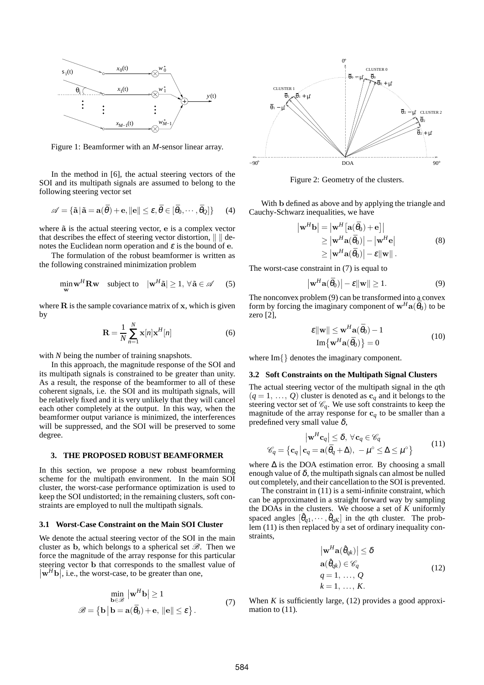

Figure 1: Beamformer with an *M*-sensor linear array.

In the method in [6], the actual steering vectors of the SOI and its multipath signals are assumed to belong to the following steering vector set

$$
\mathscr{A} = \{ \tilde{\mathbf{a}} \, | \, \tilde{\mathbf{a}} = \mathbf{a}(\bar{\theta}) + \mathbf{e}, \| \mathbf{e} \| \le \varepsilon, \bar{\theta} \in [\bar{\theta}_0, \cdots, \bar{\theta}_Q] \} \qquad (4)
$$

where  $\tilde{a}$  is the actual steering vector,  $e$  is a complex vector that describes the effect of steering vector distortion,  $\| \cdot \|$  denotes the Euclidean norm operation and  $\varepsilon$  is the bound of e.

The formulation of the robust beamformer is written as the following constrained minimization problem

$$
\min_{\mathbf{w}} \mathbf{w}^H \mathbf{R} \mathbf{w} \quad \text{subject to} \quad |\mathbf{w}^H \tilde{\mathbf{a}}| \ge 1, \, \forall \, \tilde{\mathbf{a}} \in \mathscr{A} \qquad (5)
$$

where  $\bf{R}$  is the sample covariance matrix of  $\bf{x}$ , which is given by

$$
\mathbf{R} = \frac{1}{N} \sum_{n=1}^{N} \mathbf{x}[n] \mathbf{x}^{H}[n] \tag{6}
$$

with *N* being the number of training snapshots.

In this approach, the magnitude response of the SOI and its multipath signals is constrained to be greater than unity. As a result, the response of the beamformer to all of these coherent signals, i.e. the SOI and its multipath signals, will be relatively fixed and it is very unlikely that they will cancel each other completely at the output. In this way, when the beamformer output variance is minimized, the interferences will be suppressed, and the SOI will be preserved to some degree.

#### **3. THE PROPOSED ROBUST BEAMFORMER**

In this section, we propose a new robust beamforming scheme for the multipath environment. In the main SOI cluster, the worst-case performance optimization is used to keep the SOI undistorted; in the remaining clusters, soft constraints are employed to null the multipath signals.

## **3.1 Worst-Case Constraint on the Main SOI Cluster**

We denote the actual steering vector of the SOI in the main cluster as b, which belongs to a spherical set  $\mathscr{B}$ . Then we force the magnitude of the array response for this particular steering vector <sup>b</sup> that corresponds to the smallest value of   $|\mathbf{w}^H\mathbf{b}|$ , i.e., the worst-case, to be greater than one,

$$
\min_{\mathbf{b}\in\mathscr{B}} |\mathbf{w}^H \mathbf{b}| \ge 1
$$
  

$$
\mathscr{B} = \{ \mathbf{b} | \mathbf{b} = \mathbf{a}(\bar{\theta}_0) + \mathbf{e}, ||\mathbf{e}|| \le \varepsilon \}.
$$
 (7)



Figure 2: Geometry of the clusters.

With b defined as above and by applying the triangle and Cauchy-Schwarz inequalities, we have

$$
|\mathbf{w}^{H}\mathbf{b}| = |\mathbf{w}^{H}[\mathbf{a}(\bar{\theta}_{0}) + \mathbf{e}]|
$$
  
\n
$$
\geq |\mathbf{w}^{H}\mathbf{a}(\bar{\theta}_{0})| - |\mathbf{w}^{H}\mathbf{e}|
$$
  
\n
$$
\geq |\mathbf{w}^{H}\mathbf{a}(\bar{\theta}_{0})| - \varepsilon ||\mathbf{w}||.
$$
 (8)

The worst-case constraint in (7) is equal to

 $\overline{\phantom{a}}$ 

$$
\left|\mathbf{w}^{H}\mathbf{a}(\bar{\theta}_{0})\right|-\varepsilon\|\mathbf{w}\|\geq 1.
$$
 (9)

The nonconvex problem (9) can be transformed into a convex form by forcing the imaginary component of  $w^H a(\bar{\theta}_0)$  to be zero  $[2]$ ,

$$
\mathcal{E} \|\mathbf{w}\| \leq \mathbf{w}^{H} \mathbf{a}(\bar{\theta}_0) - 1
$$
  
Im $\{\mathbf{w}^{H} \mathbf{a}(\bar{\theta}_0)\} = 0$  (10)

where Im{} denotes the imaginary component.

# **3.2 Soft Constraints on the Multipath Signal Clusters**

The actual steering vector of the multipath signal in the *q*th  $(q = 1, \ldots, Q)$  cluster is denoted as  $c_q$  and it belongs to the steering vector set of  $\mathcal{C}_q$ . We use soft constraints to keep the magnitude of the array response for  $c_q$  to be smaller than a predefined very small value  $\delta$ ,

$$
|\mathbf{w}^{H}\mathbf{c}_{q}| \leq \delta, \forall \mathbf{c}_{q} \in \mathscr{C}_{q}
$$
  

$$
q = \{ \mathbf{c}_{q} | \mathbf{c}_{q} = \mathbf{a}(\bar{\theta}_{q} + \Delta), -\mu^{\circ} \leq \Delta \leq \mu^{\circ} \}
$$
(11)

where  $\Delta$  is the DOA estimation error. By choosing a small enough value of  $\delta$ , the multipath signals can almost be nulled out completely, and their cancellation to the SOI is prevented.

The constraint in (11) is a semi-infinite constraint, which can be approximated in a straight forward way by sampling the DOAs in the clusters. We choose a set of *K* uniformly spaced angles  $[\hat{\theta}_{q1}, \cdots, \hat{\theta}_{qK}]$  in the *q*th cluster. The problem (11) is then replaced by a set of ordinary inequality constraints,

$$
|\mathbf{w}^{H}\mathbf{a}(\hat{\theta}_{qk})| \leq \delta
$$
  
\n
$$
\mathbf{a}(\hat{\theta}_{qk}) \in \mathscr{C}_{q}
$$
  
\n
$$
q = 1, ..., Q
$$
  
\n
$$
k = 1, ..., K.
$$
\n(12)

When *K* is sufficiently large, (12) provides a good approximation to  $(11)$ .

C*<sup>q</sup>* =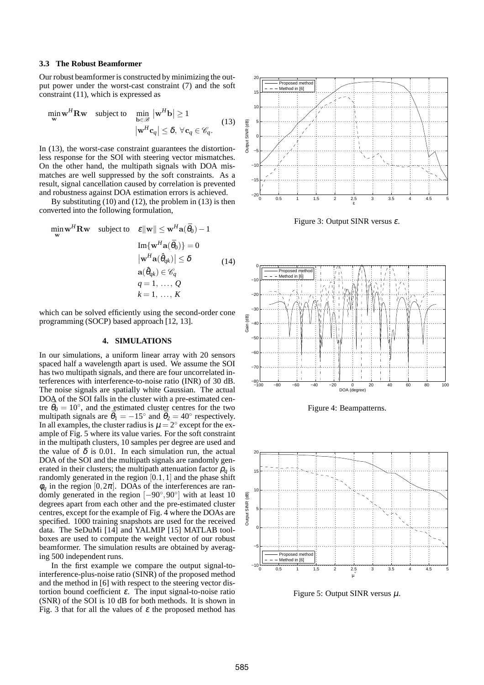# **3.3 The Robust Beamformer**

Our robust beamformer is constructed by minimizing the output power under the worst-cast constraint (7) and the soft constraint (11), which is expressed as

$$
\min_{\mathbf{w}} \mathbf{w}^H \mathbf{R} \mathbf{w} \quad \text{subject to} \quad \min_{\mathbf{b} \in \mathcal{B}} |\mathbf{w}^H \mathbf{b}| \ge 1
$$
\n
$$
|\mathbf{w}^H \mathbf{c}_q| \le \delta, \, \forall \mathbf{c}_q \in \mathcal{C}_q. \tag{13}
$$

In (13), the worst-case constraint guarantees the distortionless response for the SOI with steering vector mismatches. On the other hand, the multipath signals with DOA mismatches are well suppressed by the soft constraints. As a result, signal cancellation caused by correlation is prevented and robustness against DOA estimation errors is achieved.

By substituting (10) and (12), the problem in (13) is then converted into the following formulation,

$$
\min_{\mathbf{w}} \mathbf{w}^H \mathbf{R} \mathbf{w} \quad \text{subject to} \quad \varepsilon \|\mathbf{w}\| \le \mathbf{w}^H \mathbf{a}(\bar{\theta}_0) - 1
$$
\n
$$
\text{Im}\{\mathbf{w}^H \mathbf{a}(\bar{\theta}_0)\} = 0
$$
\n
$$
|\mathbf{w}^H \mathbf{a}(\hat{\theta}_q_k)| \le \delta \qquad (14)
$$
\n
$$
\mathbf{a}(\hat{\theta}_{qk}) \in \mathscr{C}_q
$$
\n
$$
q = 1, \dots, Q
$$
\n
$$
k = 1, \dots, K
$$

which can be solved efficiently using the second-order cone programming (SOCP) based approach [12, 13].

## **4. SIMULATIONS**

In our simulations, a uniform linear array with 20 sensors spaced half a wavelength apart is used. We assume the SOI has two multipath signals, and there are four uncorrelated interferences with interference-to-noise ratio (INR) of 30 dB. The noise signals are spatially white Gaussian. The actual DOA of the SOI falls in the cluster with a pre-estimated centre  $\bar{\theta}_0 = 10^\circ$ , and the estimated cluster centres for the two multipath signals are  $\bar{\theta}_1 = -15^\circ$  and  $\bar{\theta}_2 = 40^\circ$  respectively. In all examples, the cluster radius is  $\mu = 2^{\circ}$  except for the example of Fig. 5 where its value varies. For the soft constraint in the multipath clusters, 10 samples per degree are used and the value of  $\delta$  is 0.01. In each simulation run, the actual DOA of the SOI and the multipath signals are randomly generated in their clusters; the multipath attenuation factor  $\rho_a$  is randomly generated in the region  $[0.1, 1]$  and the phase shift  $\phi_q$  in the region  $[0,2\pi]$ . DOAs of the interferences are randomly generated in the region  $[-90^\circ, 90^\circ]$  with at least 10 degrees apart from each other and the pre-estimated cluster centres, except for the example of Fig. 4 where the DOAs are specified. 1000 training snapshots are used for the received data. The SeDuMi [14] and YALMIP [15] MATLAB toolboxes are used to compute the weight vector of our robust beamformer. The simulation results are obtained by averaging 500 independent runs.

In the first example we compare the output signal-tointerference-plus-noise ratio (SINR) of the proposed method and the method in [6] with respect to the steering vector distortion bound coefficient <sup>ε</sup>. The input signal-to-noise ratio (SNR) of the SOI is 10 dB for both methods. It is shown in Fig. 3 that for all the values of  $\varepsilon$  the proposed method has



Figure 3: Output SINR versus  $\varepsilon$ .



Figure 4: Beampatterns.



Figure 5: Output SINR versus  $\mu$ .